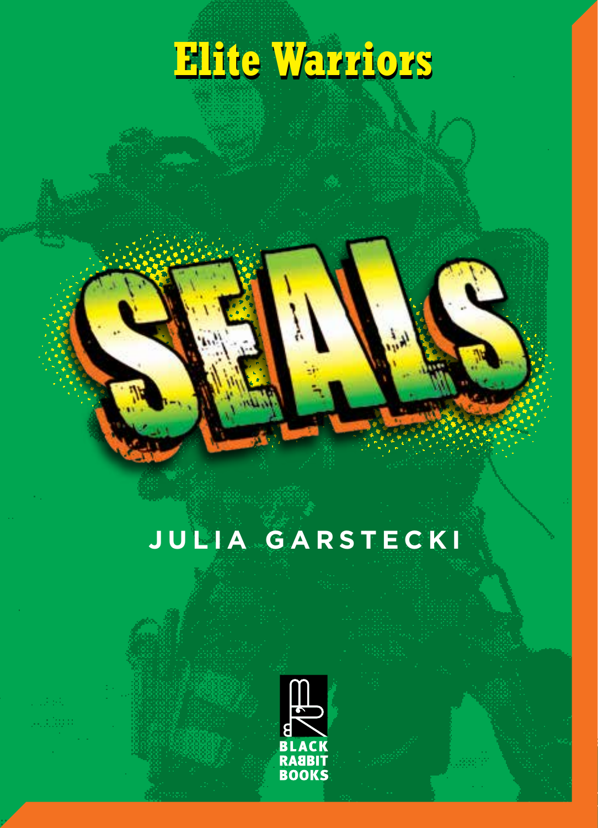# **Elite Warriors Elite Warriors**

## **JULIA GARSTECKI**

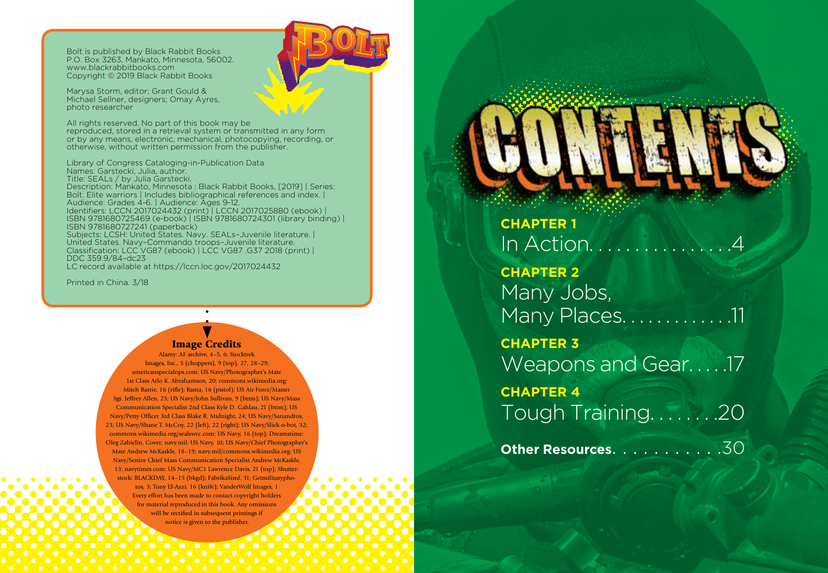Bolt is published by Black Rabbit Books P.O. Box 3263, Mankato, Minnesota, 56002. www.blackrabbitbooks.com Copyright © 2019 Black Rabbit Books

Marysa Storm, editor; Grant Gould & Michael Sellner, designers; Omay Ayres, photo researcher

All rights reserved. No part of this book may be reproduced, stored in a retrieval system or transmitted in any form or by any means, electronic, mechanical, photocopying, recording, or otherwise, without written permission from the publisher.

Library of Congress Cataloging-in-Publication Data Names: Garstecki, Julia, author. Title: SEALs / by Julia Garstecki. Description: Mankato, Minnesota : Black Rabbit Books, [2019] | Series: Bolt. Elite warriors | Includes bibliographical references and index. | Audience: Grades 4-6. | Audience: Ages 9-12. Identifiers: LCCN 2017024432 (print) | LCCN 2017025880 (ebook) | ISBN 9781680725469 (e-book) | ISBN 9781680724301 (library binding) | ISBN 9781680727241 (paperback) Subjects: LCSH: United States. Navy. SEALs–Juvenile literature. | United States. Navy–Commando troops–Juvenile literature. Classification: LCC VG87 (ebook) | LCC VG87 .G37 2018 (print) | DDC 359.9/84–dc23 LC record available at https://lccn.loc.gov/2017024432

Printed in China. 3/18

#### Image Credits

Alamy: AF archive, 4–5, 6; Stocktrek Images, Inc., 5 (choppers), 9 (top), 27, 28–29; americanspecialops.com: US Navy/Photographer's Mate 1st Class Arlo K. Abrahamson, 20; commons.wikimedia.org: Mitch Barrie, 16 (rifle); Rama, 16 (pistol); US Air Force/Master Sgt. Jeffrey Allen, 25; US Navy/John Sullivan, 9 (bttm); US Navy/Mass Communication Specialist 2nd Class Kyle D. Gahlau, 21 (bttm); US Navy/Petty Officer 3rd Class Blake R. Midnight, 24; US Navy/Sanandros, 23; US Navy/Shane T. McCoy, 22 (left), 22 (right); US Navy/Slick-o-bot, 32; commons.wikimedia.org/sealswcc.com: US Navy, 16 (top); Dreamstime: Oleg Zabielin, Cover; navy.mil: US Navy, 10; US Navy/Chief Photographer's Mate Andrew McKaskle, 18–19; navy.mil/commons.wikimedia.org: US Navy/Senior Chief Mass Communication Specialist Andrew McKaskle, 13; navytimes.com: US Navy/MC1 Lawrence Davis, 21 (top); Shutter stock: BLACKDAY, 14–15 (bkgd); FabrikaSimf, 31; Getmilitarypho tos, 3; Tony El-Azzi, 16 (knife); VanderWolf Images, 1 Every effort has been made to contact copyright holders for material reproduced in this book. Any omissions will be rectified in subsequent printings if notice is given to the publisher.

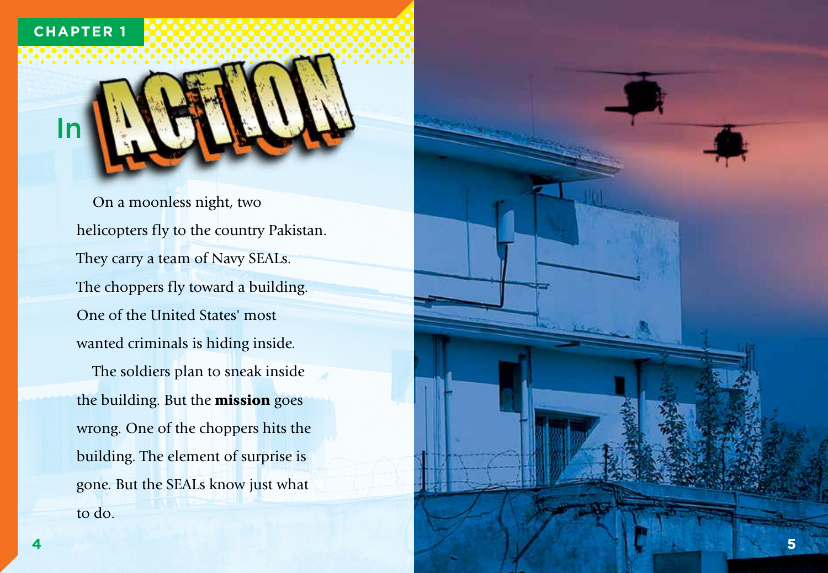#### **CHAPTER 1**

In

On a moonless night, two helicopters fly to the country Pakistan. They carry a team of Navy SEALs. The choppers fly toward a building. One of the United States' most wanted criminals is hiding inside. The soldiers plan to sneak inside the building. But the mission goes wrong. One of the choppers hits the building. The element of surprise is gone. But the SEALs know just what to do.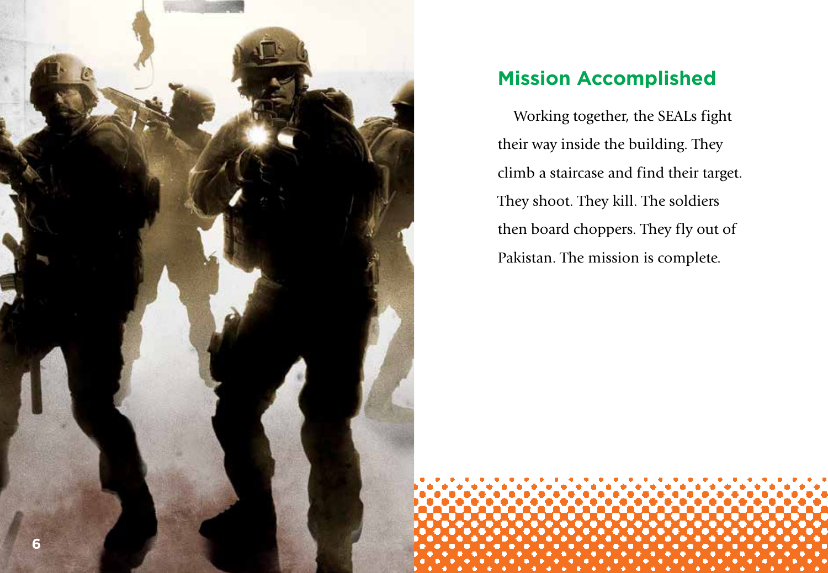

### **Mission Accomplished**

Working together, the SEALs fight their way inside the building. They climb a staircase and find their target. They shoot. They kill. The soldiers then board choppers. They fly out of Pakistan. The mission is complete.